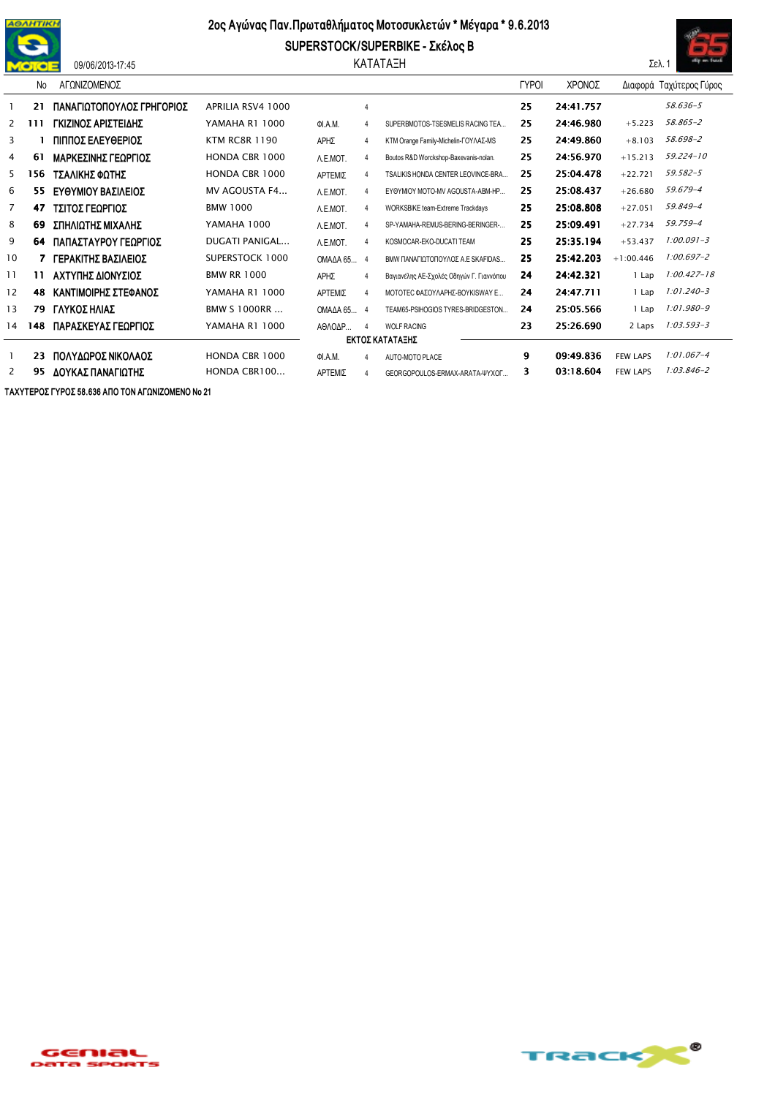

## 09/06/2013-17:45

## 2ος Αγώνας Παν. Πρωταθλήματος Μοτοσυκλετών \* Μέγαρα \* 9.6.2013

SUPERSTOCK/SUPERBIKE - Σκέλος Β ΚΑΤΑΤΑΞΗ



|                 | No  | ΑΓΩΝΙΖΟΜΕΝΟΣ              |                      |            |                |                                          | <b>LABOR</b> | ΧΡΟΝΟΣ    |                 | Διαφορά Ταχύτερος Γύρος |  |  |
|-----------------|-----|---------------------------|----------------------|------------|----------------|------------------------------------------|--------------|-----------|-----------------|-------------------------|--|--|
|                 | 21  | ΠΑΝΑΓΙΩΤΟΠΟΥΛΟΣ ΓΡΗΓΟΡΙΟΣ | APRILIA RSV4 1000    |            | 4              |                                          | 25           | 24:41.757 |                 | 58.636-5                |  |  |
| 2               | 111 | ΓΚΙΖΙΝΟΣ ΑΡΙΣΤΕΙΔΗΣ       | YAMAHA R1 1000       | OI.A.M.    |                | SUPERBMOTOS-TSESMELIS RACING TEA         | 25           | 24:46.980 | $+5.223$        | 58.865-2                |  |  |
| 3               |     | ΠΙΠΠΟΣ ΕΛΕΥΘΕΡΙΟΣ         | <b>KTM RC8R 1190</b> | ΑΡΗΣ       | $\overline{4}$ | KTM Orange Family-Michelin-ΓΟΥΛΑΣ-MS     | 25           | 24:49.860 | $+8.103$        | 58.698-2                |  |  |
| 4               | 61  | ΜΑΡΚΕΣΙΝΗΣ ΓΕΩΡΓΙΟΣ       | HONDA CBR 1000       | A.E.MOT.   | $\overline{4}$ | Boutos R&D Worckshop-Baxevanis-nolan.    | 25           | 24:56.970 | $+15.213$       | $59.224 - 10$           |  |  |
| 5.              | 156 | ΤΣΑΛΙΚΗΣ ΦΩΤΗΣ            | HONDA CBR 1000       | ΑΡΤΕΜΙΣ    | 4              | TSALIKIS HONDA CENTER LEOVINCE-BRA       | 25           | 25:04.478 | $+22.721$       | 59.582-5                |  |  |
| 6               | 55. | ΕΥΘΥΜΙΟΥ ΒΑΣΙΛΕΙΟΣ        | MV AGOUSTA F4        | A.E.MOT.   | $\overline{4}$ | EYOYMIOY MOTO-MV AGOUSTA-ABM-HP          | 25           | 25:08.437 | $+26.680$       | 59.679-4                |  |  |
| 7               | 47  | ΤΣΙΤΟΣ ΓΕΩΡΓΙΟΣ           | <b>BMW 1000</b>      | A.E.MOT.   | $\overline{4}$ | WORKSBIKE team-Extreme Trackdays         | 25           | 25:08.808 | $+27.051$       | 59.849-4                |  |  |
| 8               | 69  | ΣΠΗΛΙΩΤΗΣ ΜΙΧΑΛΗΣ         | YAMAHA 1000          | A.E.MOT.   | $\Delta$       | SP-YAMAHA-REMUS-BERING-BERINGER-         | 25           | 25:09.491 | $+27.734$       | 59.759-4                |  |  |
| 9               | 64  | ΠΑΠΑΣΤΑΥΡΟΥ ΓΕΩΡΓΙΟΣ      | DUGATI PANIGAL       | A.E.MOT.   | $\overline{4}$ | KOSMOCAR-EKO-DUCATI TEAM                 | 25           | 25:35.194 | $+53.437$       | $1:00.091 - 3$          |  |  |
| 10              | 7   | ΓΕΡΑΚΙΤΗΣ ΒΑΣΙΛΕΙΟΣ       | SUPERSTOCK 1000      | OMAAA65    | - 4            | ΒΜΜ ΠΑΝΑΓΙΩΤΟΠΟΥΛΟΣ Α.Ε SKAFIDAS         | 25           | 25:42.203 | $+1:00.446$     | $1:00.697 - 2$          |  |  |
| 11              | 11  | ΑΧΤΥΠΗΣ ΔΙΟΝΥΣΙΟΣ         | <b>BMW RR 1000</b>   | ΑΡΗΣ       | $\overline{4}$ | Βαγιανέλης ΑΕ-Σχολές Οδηγών Γ. Γιαννόπου | 24           | 24:42.321 | 1 Lap           | $1:00.427 - 18$         |  |  |
| 12              | 48  | ΚΑΝΤΙΜΟΙΡΗΣ ΣΤΕΦΑΝΟΣ      | YAMAHA R1 1000       | ΑΡΤΕΜΙΣ    | $\overline{4}$ | ΜΟΤΟΤΕΣ ΦΑΣΟΥΛΑΡΗΣ-ΒΟΥΚΙSWAY Ε           | 24           | 24:47.711 | 1 Lap           | 1:01.240-3              |  |  |
| 13              | 79  | ΓΛΥΚΟΣ ΗΛΙΑΣ              | <b>BMW S 1000RR </b> | OMAΔA 65 4 |                | TEAM65-PSIHOGIOS TYRES-BRIDGESTON        | 24           | 25:05.566 | 1 Lap           | 1:01.980-9              |  |  |
| 14              | 148 | ΠΑΡΑΣΚΕΥΑΣ ΓΕΩΡΓΙΟΣ       | YAMAHA R1 1000       | ΑΘΛΟΔΡ     | $\overline{4}$ | <b>WOLF RACING</b>                       | 23           | 25:26.690 | 2 Laps          | $1:03.593 - 3$          |  |  |
| ΕΚΤΟΣ ΚΑΤΑΤΑΞΗΣ |     |                           |                      |            |                |                                          |              |           |                 |                         |  |  |
|                 | 23  | ΠΟΛΥΔΩΡΟΣ ΝΙΚΟΛΑΟΣ        | HONDA CBR 1000       | ΦΙ.Α.Μ.    | $\overline{4}$ | AUTO-MOTO PLACE                          | 9            | 09:49.836 | <b>FEW LAPS</b> | $1:01.067 - 4$          |  |  |
| 2               | 95  | ΔΟΥΚΑΣ ΠΑΝΑΓΙΩΤΗΣ         | HONDA CBR100         | ΑΡΤΕΜΙΣ    | 4              | GEORGOPOULOS-ERMAX-ARATA-ΨΥΧΟΓ           | 3            | 03:18.604 | <b>FEW LAPS</b> | $1:03.846 - 2$          |  |  |

ΤΑΧΥΤΕΡΟΣ ΓΥΡΟΣ 58.636 ΑΠΟ ΤΟΝ ΑΓΩΝΙΖΟΜΕΝΟ Νο 21